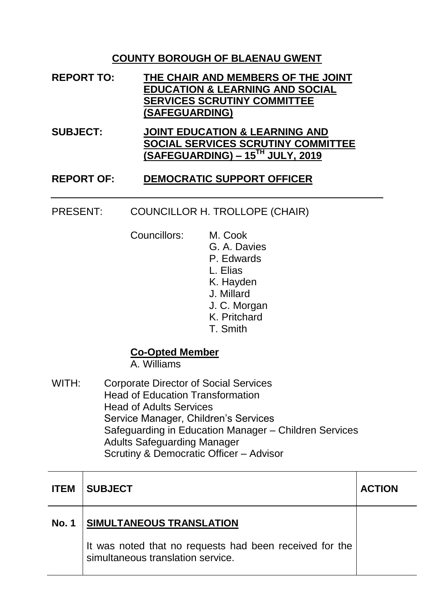### **COUNTY BOROUGH OF BLAENAU GWENT**

- **REPORT TO: THE CHAIR AND MEMBERS OF THE JOINT EDUCATION & LEARNING AND SOCIAL SERVICES SCRUTINY COMMITTEE (SAFEGUARDING)**
- **SUBJECT: JOINT EDUCATION & LEARNING AND SOCIAL SERVICES SCRUTINY COMMITTEE (SAFEGUARDING) – 15TH JULY, 2019**

#### **REPORT OF: DEMOCRATIC SUPPORT OFFICER**

#### PRESENT: COUNCILLOR H. TROLLOPE (CHAIR)

Councillors: M. Cook

G. A. Davies P. Edwards L. Elias K. Hayden J. Millard J. C. Morgan K. Pritchard T. Smith

#### **Co-Opted Member**

A. Williams

WITH: Corporate Director of Social Services Head of Education Transformation Head of Adults Services Service Manager, Children's Services Safeguarding in Education Manager – Children Services Adults Safeguarding Manager Scrutiny & Democratic Officer – Advisor

| <b>ITEM</b>  | <b>SUBJECT</b>                                                                               | <b>ACTION</b> |
|--------------|----------------------------------------------------------------------------------------------|---------------|
| <b>No. 1</b> | SIMULTANEOUS TRANSLATION                                                                     |               |
|              | It was noted that no requests had been received for the<br>simultaneous translation service. |               |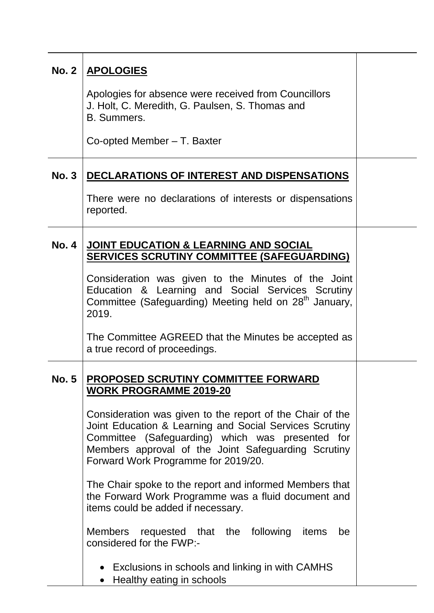| <b>No. 2</b> | <b>APOLOGIES</b>                                                                                                                                                                                                                                                       |  |
|--------------|------------------------------------------------------------------------------------------------------------------------------------------------------------------------------------------------------------------------------------------------------------------------|--|
|              | Apologies for absence were received from Councillors<br>J. Holt, C. Meredith, G. Paulsen, S. Thomas and<br>B. Summers.                                                                                                                                                 |  |
|              | Co-opted Member - T. Baxter                                                                                                                                                                                                                                            |  |
| <b>No. 3</b> | DECLARATIONS OF INTEREST AND DISPENSATIONS                                                                                                                                                                                                                             |  |
|              | There were no declarations of interests or dispensations<br>reported.                                                                                                                                                                                                  |  |
| <b>No. 4</b> | JOINT EDUCATION & LEARNING AND SOCIAL<br><b>SERVICES SCRUTINY COMMITTEE (SAFEGUARDING)</b>                                                                                                                                                                             |  |
|              | Consideration was given to the Minutes of the Joint<br>Education & Learning and Social Services Scrutiny<br>Committee (Safeguarding) Meeting held on 28 <sup>th</sup> January,<br>2019.                                                                                |  |
|              | The Committee AGREED that the Minutes be accepted as<br>a true record of proceedings.                                                                                                                                                                                  |  |
| <b>No. 5</b> | <b>PROPOSED SCRUTINY COMMITTEE FORWARD</b><br><b>WORK PROGRAMME 2019-20</b>                                                                                                                                                                                            |  |
|              | Consideration was given to the report of the Chair of the<br>Joint Education & Learning and Social Services Scrutiny<br>Committee (Safeguarding) which was presented for<br>Members approval of the Joint Safeguarding Scrutiny<br>Forward Work Programme for 2019/20. |  |
|              | The Chair spoke to the report and informed Members that<br>the Forward Work Programme was a fluid document and<br>items could be added if necessary.                                                                                                                   |  |
|              | <b>Members</b><br>following<br>requested that the<br>items<br>be<br>considered for the FWP:-                                                                                                                                                                           |  |
|              | • Exclusions in schools and linking in with CAMHS<br>Healthy eating in schools                                                                                                                                                                                         |  |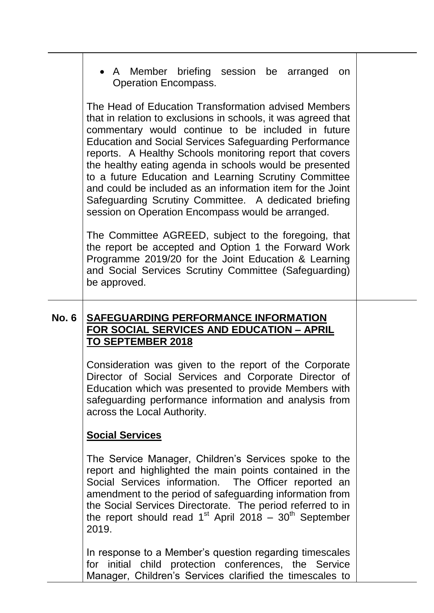|              | • A Member briefing session be arranged<br>on<br><b>Operation Encompass.</b>                                                                                                                                                                                                                                                                                                                                                                                                                                                                                                                             |  |
|--------------|----------------------------------------------------------------------------------------------------------------------------------------------------------------------------------------------------------------------------------------------------------------------------------------------------------------------------------------------------------------------------------------------------------------------------------------------------------------------------------------------------------------------------------------------------------------------------------------------------------|--|
|              | The Head of Education Transformation advised Members<br>that in relation to exclusions in schools, it was agreed that<br>commentary would continue to be included in future<br><b>Education and Social Services Safeguarding Performance</b><br>reports. A Healthy Schools monitoring report that covers<br>the healthy eating agenda in schools would be presented<br>to a future Education and Learning Scrutiny Committee<br>and could be included as an information item for the Joint<br>Safeguarding Scrutiny Committee. A dedicated briefing<br>session on Operation Encompass would be arranged. |  |
|              | The Committee AGREED, subject to the foregoing, that<br>the report be accepted and Option 1 the Forward Work<br>Programme 2019/20 for the Joint Education & Learning<br>and Social Services Scrutiny Committee (Safeguarding)<br>be approved.                                                                                                                                                                                                                                                                                                                                                            |  |
| <b>No. 6</b> | <b>SAFEGUARDING PERFORMANCE INFORMATION</b><br>FOR SOCIAL SERVICES AND EDUCATION - APRIL<br><b>TO SEPTEMBER 2018</b>                                                                                                                                                                                                                                                                                                                                                                                                                                                                                     |  |
|              | Consideration was given to the report of the Corporate<br>Director of Social Services and Corporate Director of<br>Education which was presented to provide Members with<br>safeguarding performance information and analysis from<br>across the Local Authority.                                                                                                                                                                                                                                                                                                                                        |  |
|              | <b>Social Services</b>                                                                                                                                                                                                                                                                                                                                                                                                                                                                                                                                                                                   |  |
|              | The Service Manager, Children's Services spoke to the<br>report and highlighted the main points contained in the<br>Social Services information. The Officer reported an<br>amendment to the period of safeguarding information from<br>the Social Services Directorate. The period referred to in<br>the report should read $1^{st}$ April 2018 – $30^{th}$ September<br>2019.                                                                                                                                                                                                                          |  |
|              | In response to a Member's question regarding timescales<br>for initial child protection conferences, the Service<br>Manager, Children's Services clarified the timescales to                                                                                                                                                                                                                                                                                                                                                                                                                             |  |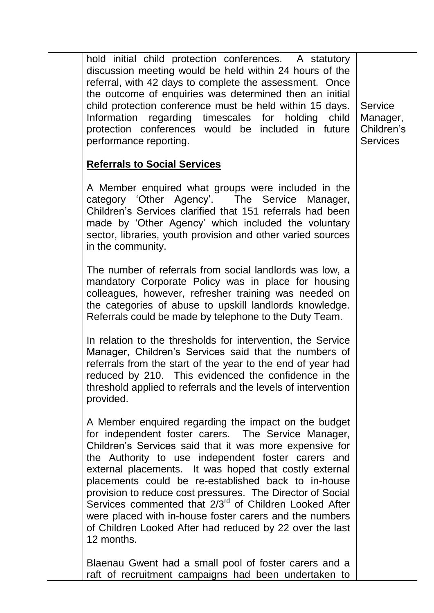hold initial child protection conferences. A statutory discussion meeting would be held within 24 hours of the referral, with 42 days to complete the assessment. Once the outcome of enquiries was determined then an initial child protection conference must be held within 15 days. Information regarding timescales for holding child protection conferences would be included in future performance reporting.

**Service** Manager, Children's **Services** 

# **Referrals to Social Services**

A Member enquired what groups were included in the category 'Other Agency'. The Service Manager, Children's Services clarified that 151 referrals had been made by 'Other Agency' which included the voluntary sector, libraries, youth provision and other varied sources in the community.

The number of referrals from social landlords was low, a mandatory Corporate Policy was in place for housing colleagues, however, refresher training was needed on the categories of abuse to upskill landlords knowledge. Referrals could be made by telephone to the Duty Team.

In relation to the thresholds for intervention, the Service Manager, Children's Services said that the numbers of referrals from the start of the year to the end of year had reduced by 210. This evidenced the confidence in the threshold applied to referrals and the levels of intervention provided.

A Member enquired regarding the impact on the budget for independent foster carers. The Service Manager, Children's Services said that it was more expensive for the Authority to use independent foster carers and external placements. It was hoped that costly external placements could be re-established back to in-house provision to reduce cost pressures. The Director of Social Services commented that 2/3<sup>rd</sup> of Children Looked After were placed with in-house foster carers and the numbers of Children Looked After had reduced by 22 over the last 12 months.

Blaenau Gwent had a small pool of foster carers and a raft of recruitment campaigns had been undertaken to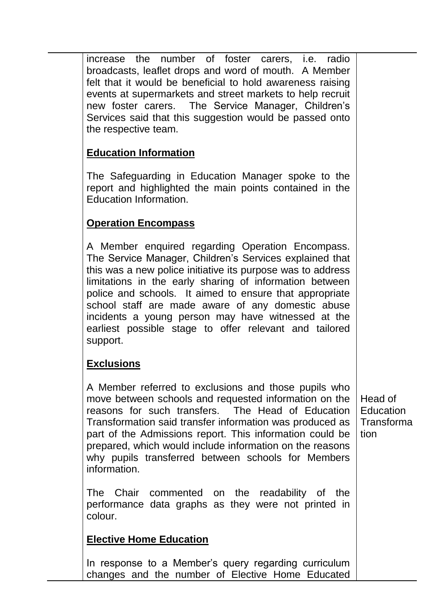increase the number of foster carers, i.e. radio broadcasts, leaflet drops and word of mouth. A Member felt that it would be beneficial to hold awareness raising events at supermarkets and street markets to help recruit new foster carers. The Service Manager, Children's Services said that this suggestion would be passed onto the respective team.

# **Education Information**

The Safeguarding in Education Manager spoke to the report and highlighted the main points contained in the Education Information.

# **Operation Encompass**

A Member enquired regarding Operation Encompass. The Service Manager, Children's Services explained that this was a new police initiative its purpose was to address limitations in the early sharing of information between police and schools. It aimed to ensure that appropriate school staff are made aware of any domestic abuse incidents a young person may have witnessed at the earliest possible stage to offer relevant and tailored support.

# **Exclusions**

A Member referred to exclusions and those pupils who move between schools and requested information on the reasons for such transfers. The Head of Education Transformation said transfer information was produced as part of the Admissions report. This information could be prepared, which would include information on the reasons why pupils transferred between schools for Members information.

The Chair commented on the readability of the performance data graphs as they were not printed in colour.

# **Elective Home Education**

In response to a Member's query regarding curriculum changes and the number of Elective Home Educated

Head of **Education** Transforma tion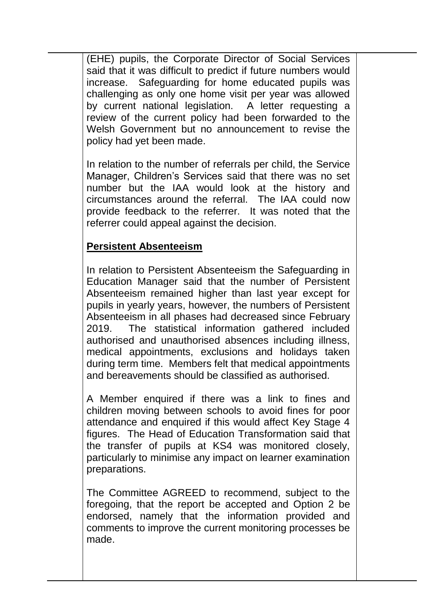(EHE) pupils, the Corporate Director of Social Services said that it was difficult to predict if future numbers would increase. Safeguarding for home educated pupils was challenging as only one home visit per year was allowed by current national legislation. A letter requesting a review of the current policy had been forwarded to the Welsh Government but no announcement to revise the policy had yet been made.

In relation to the number of referrals per child, the Service Manager, Children's Services said that there was no set number but the IAA would look at the history and circumstances around the referral. The IAA could now provide feedback to the referrer. It was noted that the referrer could appeal against the decision.

### **Persistent Absenteeism**

In relation to Persistent Absenteeism the Safeguarding in Education Manager said that the number of Persistent Absenteeism remained higher than last year except for pupils in yearly years, however, the numbers of Persistent Absenteeism in all phases had decreased since February 2019. The statistical information gathered included authorised and unauthorised absences including illness, medical appointments, exclusions and holidays taken during term time. Members felt that medical appointments and bereavements should be classified as authorised.

A Member enquired if there was a link to fines and children moving between schools to avoid fines for poor attendance and enquired if this would affect Key Stage 4 figures. The Head of Education Transformation said that the transfer of pupils at KS4 was monitored closely, particularly to minimise any impact on learner examination preparations.

The Committee AGREED to recommend, subject to the foregoing, that the report be accepted and Option 2 be endorsed, namely that the information provided and comments to improve the current monitoring processes be made.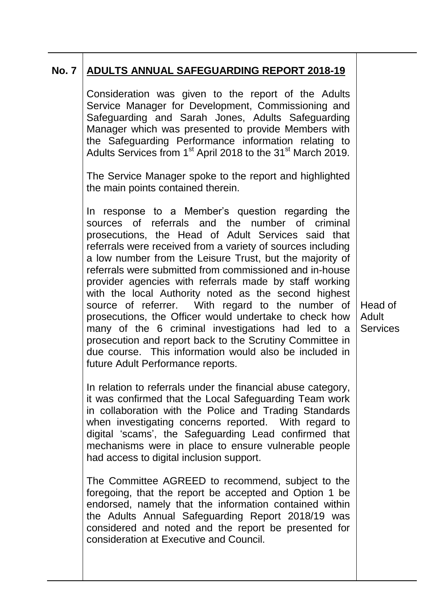# **No. 7 ADULTS ANNUAL SAFEGUARDING REPORT 2018-19**

Consideration was given to the report of the Adults Service Manager for Development, Commissioning and Safeguarding and Sarah Jones, Adults Safeguarding Manager which was presented to provide Members with the Safeguarding Performance information relating to Adults Services from 1<sup>st</sup> April 2018 to the 31<sup>st</sup> March 2019.

The Service Manager spoke to the report and highlighted the main points contained therein.

In response to a Member's question regarding the sources of referrals and the number of criminal prosecutions, the Head of Adult Services said that referrals were received from a variety of sources including a low number from the Leisure Trust, but the majority of referrals were submitted from commissioned and in-house provider agencies with referrals made by staff working with the local Authority noted as the second highest source of referrer. With regard to the number of prosecutions, the Officer would undertake to check how many of the 6 criminal investigations had led to a prosecution and report back to the Scrutiny Committee in due course. This information would also be included in future Adult Performance reports.

In relation to referrals under the financial abuse category, it was confirmed that the Local Safeguarding Team work in collaboration with the Police and Trading Standards when investigating concerns reported. With regard to digital 'scams', the Safeguarding Lead confirmed that mechanisms were in place to ensure vulnerable people had access to digital inclusion support.

The Committee AGREED to recommend, subject to the foregoing, that the report be accepted and Option 1 be endorsed, namely that the information contained within the Adults Annual Safeguarding Report 2018/19 was considered and noted and the report be presented for consideration at Executive and Council.

Head of Adult **Services**